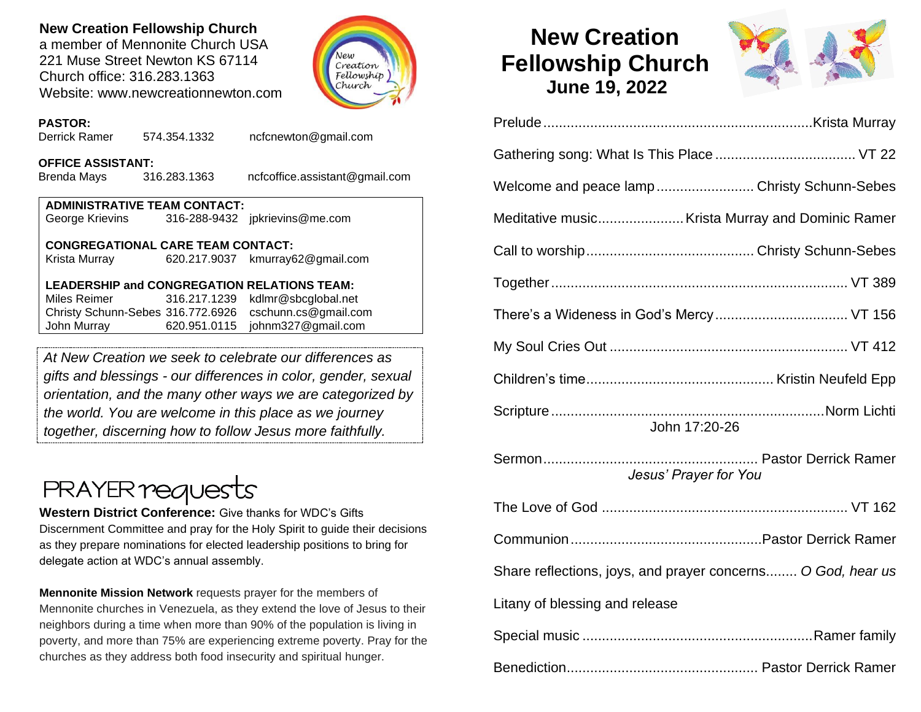# **New Creation Fellowship Church**

a member of Mennonite Church USA 221 Muse Street Newton KS 67114 Church office: 316.283.1363 Website: www.newcreationnewton.com



### **PASTOR:**

Derrick Ramer 574.354.1332 [ncfcnewton@gmail.com](mailto:ncfcnewton@gmail.com)

#### **OFFICE ASSISTANT:**

Brenda Mays 316.283.1363 ncfcoffice.assistant@gmail.com

| <b>ADMINISTRATIVE TEAM CONTACT:</b> |  |                                |  |  |  |
|-------------------------------------|--|--------------------------------|--|--|--|
| George Krievins                     |  | 316-288-9432 jpkrievins@me.com |  |  |  |

#### **CONGREGATIONAL CARE TEAM CONTACT:**

Krista Murray 620.217.9037 [kmurray62@gmail.com](mailto:kmurray62@gmail.com)

## **LEADERSHIP and CONGREGATION RELATIONS TEAM:**

Miles Reimer [316.217.1239](mailto:316.217.1239) kdlmr@sbcglobal.net Christy Schunn-Sebes 316.772.6926 cschunn.cs@gmail.com John Murray 620.951.0115 johnm327@gmail.com

*At New Creation we seek to celebrate our differences as gifts and blessings - our differences in color, gender, sexual orientation, and the many other ways we are categorized by the world. You are welcome in this place as we journey together, discerning how to follow Jesus more faithfully.*

# **PRAYER requests**

**Western District Conference:** Give thanks for WDC's Gifts Discernment Committee and pray for the Holy Spirit to guide their decisions as they prepare nominations for elected leadership positions to bring for delegate action at WDC's annual assembly.

**Mennonite Mission Network** requests prayer for the members of Mennonite churches in Venezuela, as they extend the love of Jesus to their neighbors during a time when more than 90% of the population is living in poverty, and more than 75% are experiencing extreme poverty. Pray for the churches as they address both food insecurity and spiritual hunger.

# **New Creation Fellowship Church June 19, 2022**



| Welcome and peace lamp  Christy Schunn-Sebes                |
|-------------------------------------------------------------|
| Meditative music Krista Murray and Dominic Ramer            |
|                                                             |
|                                                             |
|                                                             |
|                                                             |
|                                                             |
| John 17:20-26                                               |
| Jesus' Prayer for You                                       |
|                                                             |
|                                                             |
| Share reflections, joys, and prayer concerns O God, hear us |
| Litany of blessing and release                              |
|                                                             |
|                                                             |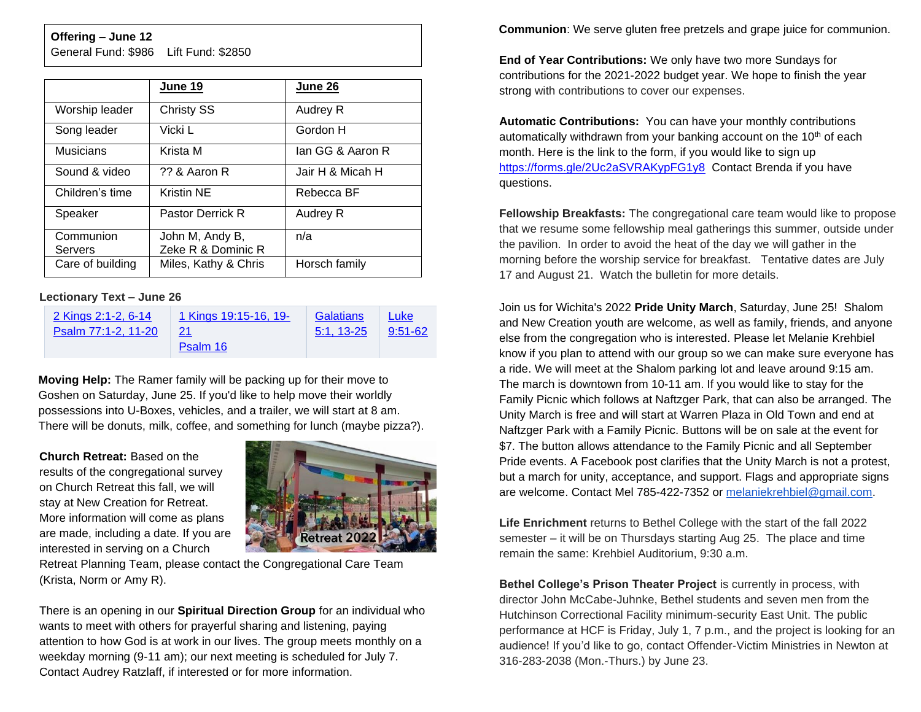#### **Offering – June 12**

General Fund: \$986 Lift Fund: \$2850

|                      | June 19                               | June 26          |
|----------------------|---------------------------------------|------------------|
| Worship leader       | <b>Christy SS</b>                     | Audrey R         |
| Song leader          | Vicki L                               | Gordon H         |
| Musicians            | Krista M                              | lan GG & Aaron R |
| Sound & video        | ?? & Aaron R                          | Jair H & Micah H |
| Children's time      | <b>Kristin NE</b>                     | Rebecca BF       |
| Speaker              | Pastor Derrick R                      | Audrey R         |
| Communion<br>Servers | John M, Andy B,<br>Zeke R & Dominic R | n/a              |
| Care of building     | Miles, Kathy & Chris                  | Horsch family    |

#### **Lectionary Text – June 26**

| 2 Kings 2:1-2, 6-14 | 1 Kings 19:15-16, 19- | Galatians    | Luke    |
|---------------------|-----------------------|--------------|---------|
| Psalm 77:1-2, 11-20 | 21                    | $5:1, 13-25$ | 9:51-62 |
|                     | Psalm 16              |              |         |

**Moving Help:** The Ramer family will be packing up for their move to Goshen on Saturday, June 25. If you'd like to help move their worldly possessions into U-Boxes, vehicles, and a trailer, we will start at 8 am. There will be donuts, milk, coffee, and something for lunch (maybe pizza?).

**Church Retreat:** Based on the results of the congregational survey on Church Retreat this fall, we will stay at New Creation for Retreat. More information will come as plans are made, including a date. If you are interested in serving on a Church



Retreat Planning Team, please contact the Congregational Care Team (Krista, Norm or Amy R).

There is an opening in our **Spiritual Direction Group** for an individual who wants to meet with others for prayerful sharing and listening, paying attention to how God is at work in our lives. The group meets monthly on a weekday morning (9-11 am); our next meeting is scheduled for July 7. Contact Audrey Ratzlaff, if interested or for more information.

**Communion**: We serve gluten free pretzels and grape juice for communion.

**End of Year Contributions:** We only have two more Sundays for contributions for the 2021-2022 budget year. We hope to finish the year strong with contributions to cover our expenses.

**Automatic Contributions:** You can have your monthly contributions automatically withdrawn from your banking account on the  $10<sup>th</sup>$  of each month. Here is the link to the form, if you would like to sign up <https://forms.gle/2Uc2aSVRAKypFG1y8> Contact Brenda if you have questions.

**Fellowship Breakfasts:** The congregational care team would like to propose that we resume some fellowship meal gatherings this summer, outside under the pavilion. In order to avoid the heat of the day we will gather in the morning before the worship service for breakfast. Tentative dates are July 17 and August 21. Watch the bulletin for more details.

Join us for Wichita's 2022 **Pride Unity March**, Saturday, June 25! Shalom [and New C](https://lectionary.library.vanderbilt.edu/texts.php?id=268)reation youth are welcome, as well as family, friends, and anyone else from the congregation who is interested. Please let Melanie Krehbiel know if you plan to attend with our group so we can make sure everyone has a ride. We will meet at the Shalom parking lot and leave around 9:15 am. The march is downtown from 10-11 am. If you would like to stay for the Family Picnic which follows at Naftzger Park, that can also be arranged. The Unity March is free and will start at Warren Plaza in Old Town and end at Naftzger Park with a Family Picnic. Buttons will be on sale at the event for \$7. The button allows attendance to the Family Picnic and all September Pride events. A Facebook post clarifies that the Unity March is not a protest, but a march for unity, acceptance, and support. Flags and appropriate signs are welcome. Contact Mel 785-422-7352 or [melaniekrehbiel@gmail.com.](mailto:melaniekrehbiel@gmail.com)

**Life Enrichment** returns to Bethel College with the start of the fall 2022 semester – it will be on Thursdays starting Aug 25. The place and time remain the same: Krehbiel Auditorium, 9:30 a.m.

**Bethel College's Prison Theater Project** is currently in process, with director John McCabe-Juhnke, Bethel students and seven men from the Hutchinson Correctional Facility minimum-security East Unit. The public performance at HCF is Friday, July 1, 7 p.m., and the project is looking for an audience! If you'd like to go, contact Offender-Victim Ministries in Newton at 316-283-2038 (Mon.-Thurs.) by June 23.